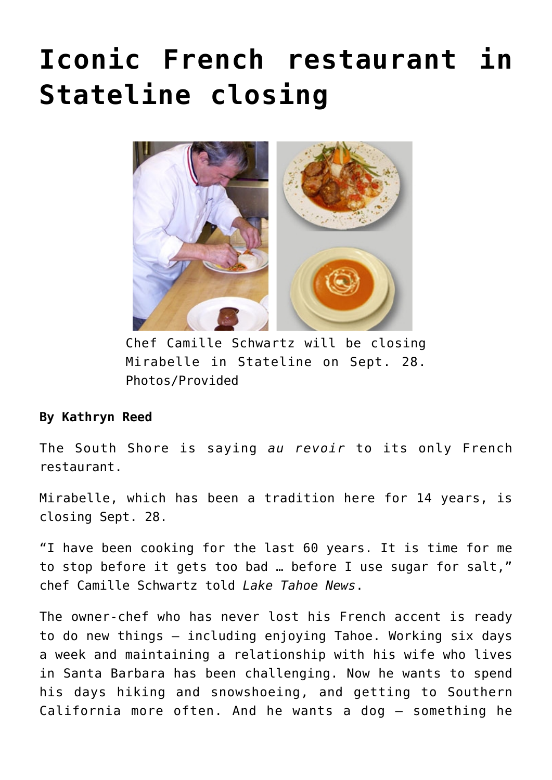## **[Iconic French restaurant in](https://www.laketahoenews.net/2014/09/iconic-french-restaurant-in-stateline-closing/) [Stateline closing](https://www.laketahoenews.net/2014/09/iconic-french-restaurant-in-stateline-closing/)**



Chef Camille Schwartz will be closing Mirabelle in Stateline on Sept. 28. Photos/Provided

## **By Kathryn Reed**

The South Shore is saying *au revoir* to its only French restaurant.

Mirabelle, which has been a tradition here for 14 years, is closing Sept. 28.

"I have been cooking for the last 60 years. It is time for me to stop before it gets too bad … before I use sugar for salt," chef Camille Schwartz told *Lake Tahoe News*.

The owner-chef who has never lost his French accent is ready to do new things – including enjoying Tahoe. Working six days a week and maintaining a relationship with his wife who lives in Santa Barbara has been challenging. Now he wants to spend his days hiking and snowshoeing, and getting to Southern California more often. And he wants a dog – something he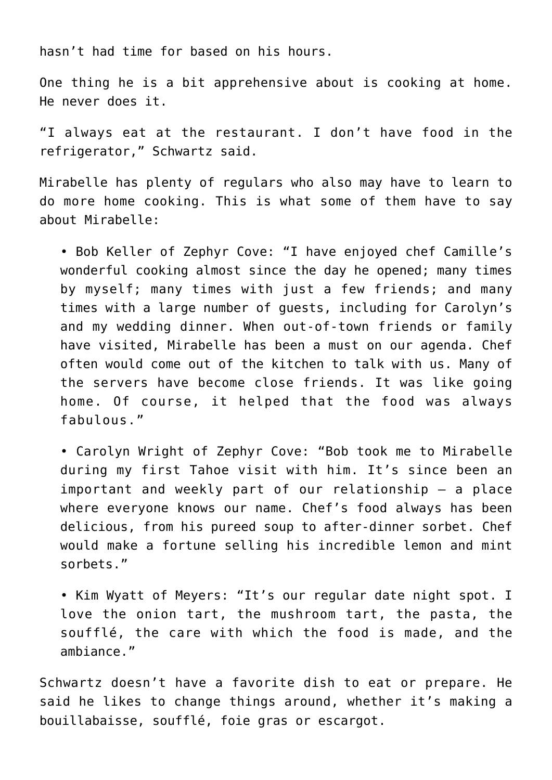hasn't had time for based on his hours.

One thing he is a bit apprehensive about is cooking at home. He never does it.

"I always eat at the restaurant. I don't have food in the refrigerator," Schwartz said.

Mirabelle has plenty of regulars who also may have to learn to do more home cooking. This is what some of them have to say about Mirabelle:

• Bob Keller of Zephyr Cove: "I have enjoyed chef Camille's wonderful cooking almost since the day he opened; many times by myself; many times with just a few friends; and many times with a large number of guests, including for Carolyn's and my wedding dinner. When out-of-town friends or family have visited, Mirabelle has been a must on our agenda. Chef often would come out of the kitchen to talk with us. Many of the servers have become close friends. It was like going home. Of course, it helped that the food was always fabulous."

• Carolyn Wright of Zephyr Cove: "Bob took me to Mirabelle during my first Tahoe visit with him. It's since been an important and weekly part of our relationship – a place where everyone knows our name. Chef's food always has been delicious, from his pureed soup to after-dinner sorbet. Chef would make a fortune selling his incredible lemon and mint sorbets."

• Kim Wyatt of Meyers: "It's our regular date night spot. I love the onion tart, the mushroom tart, the pasta, the soufflé, the care with which the food is made, and the ambiance."

Schwartz doesn't have a favorite dish to eat or prepare. He said he likes to change things around, whether it's making a bouillabaisse, soufflé, foie gras or escargot.